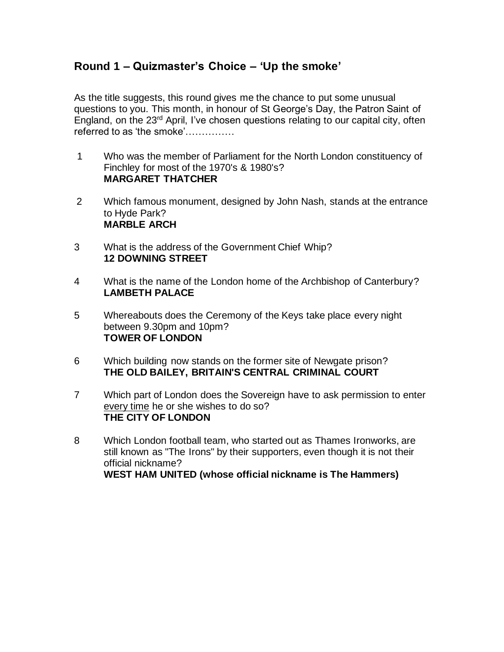## **Round 1 – Quizmaster's Choice – 'Up the smoke'**

As the title suggests, this round gives me the chance to put some unusual questions to you. This month, in honour of St George's Day, the Patron Saint of England, on the 23rd April, I've chosen questions relating to our capital city, often referred to as 'the smoke'……………

- 1 Who was the member of Parliament for the North London constituency of Finchley for most of the 1970's & 1980's? **MARGARET THATCHER**
- 2 Which famous monument, designed by John Nash, stands at the entrance to Hyde Park? **MARBLE ARCH**
- 3 What is the address of the Government Chief Whip? **12 DOWNING STREET**
- 4 What is the name of the London home of the Archbishop of Canterbury? **LAMBETH PALACE**
- 5 Whereabouts does the Ceremony of the Keys take place every night between 9.30pm and 10pm? **TOWER OF LONDON**
- 6 Which building now stands on the former site of Newgate prison? **THE OLD BAILEY, BRITAIN'S CENTRAL CRIMINAL COURT**
- 7 Which part of London does the Sovereign have to ask permission to enter every time he or she wishes to do so? **THE CITY OF LONDON**
- 8 Which London football team, who started out as Thames Ironworks, are still known as "The Irons" by their supporters, even though it is not their official nickname? **WEST HAM UNITED (whose official nickname is The Hammers)**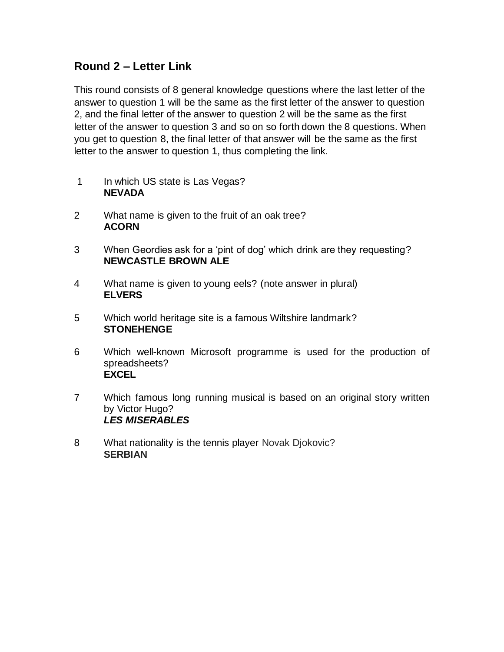## **Round 2 – Letter Link**

This round consists of 8 general knowledge questions where the last letter of the answer to question 1 will be the same as the first letter of the answer to question 2, and the final letter of the answer to question 2 will be the same as the first letter of the answer to question 3 and so on so forth down the 8 questions. When you get to question 8, the final letter of that answer will be the same as the first letter to the answer to question 1, thus completing the link.

- 1 In which US state is Las Vegas? **NEVADA**
- 2 What name is given to the fruit of an oak tree? **ACORN**
- 3 When Geordies ask for a 'pint of dog' which drink are they requesting? **NEWCASTLE BROWN ALE**
- 4 What name is given to young eels? (note answer in plural) **ELVERS**
- 5 Which world heritage site is a famous Wiltshire landmark? **STONEHENGE**
- 6 Which well-known Microsoft programme is used for the production of spreadsheets? **EXCEL**
- 7 Which famous long running musical is based on an original story written by Victor Hugo? *LES MISERABLES*
- 8 What nationality is the tennis player Novak Djokovic? **SERBIAN**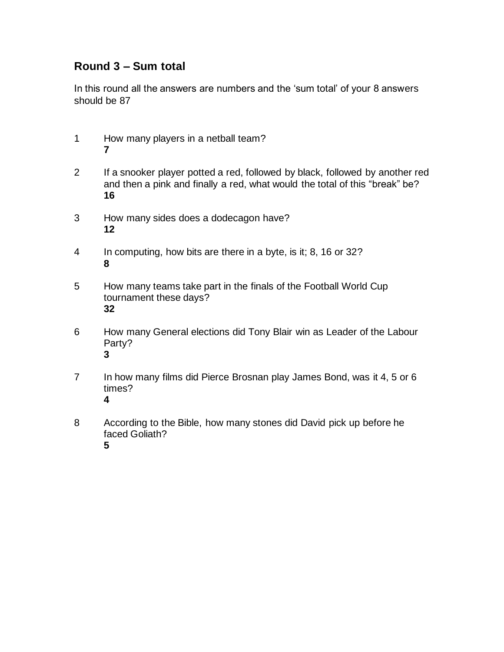## **Round 3 – Sum total**

In this round all the answers are numbers and the 'sum total' of your 8 answers should be 87

- How many players in a netball team?
- If a snooker player potted a red, followed by black, followed by another red and then a pink and finally a red, what would the total of this "break" be?
- How many sides does a dodecagon have?
- In computing, how bits are there in a byte, is it; 8, 16 or 32?
- How many teams take part in the finals of the Football World Cup tournament these days?
- How many General elections did Tony Blair win as Leader of the Labour Party?
- In how many films did Pierce Brosnan play James Bond, was it 4, 5 or 6 times?
- According to the Bible, how many stones did David pick up before he faced Goliath?